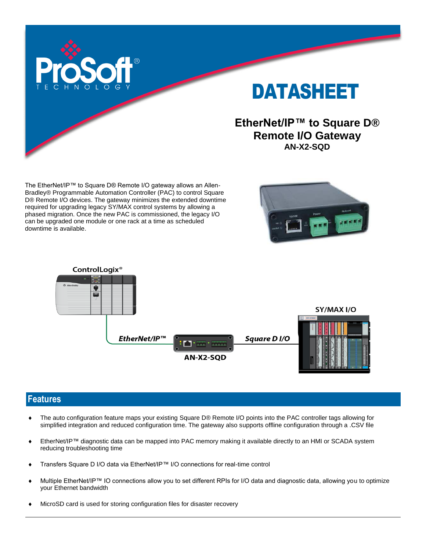

# DATASHEET

#### **EtherNet/IP™ to Square D® Remote I/O Gateway AN-X2-SQD**

The EtherNet/IP™ to Square D® Remote I/O gateway allows an Allen-Bradley® Programmable Automation Controller (PAC) to control Square D® Remote I/O devices. The gateway minimizes the extended downtime required for upgrading legacy SY/MAX control systems by allowing a phased migration. Once the new PAC is commissioned, the legacy I/O can be upgraded one module or one rack at a time as scheduled downtime is available.





#### **Features**

- The auto configuration feature maps your existing Square D® Remote I/O points into the PAC controller tags allowing for simplified integration and reduced configuration time. The gateway also supports offline configuration through a .CSV file
- EtherNet/IP™ diagnostic data can be mapped into PAC memory making it available directly to an HMI or SCADA system reducing troubleshooting time
- Transfers Square D I/O data via EtherNet/IP™ I/O connections for real-time control
- Multiple EtherNet/IP™ IO connections allow you to set different RPIs for I/O data and diagnostic data, allowing you to optimize your Ethernet bandwidth
- MicroSD card is used for storing configuration files for disaster recovery